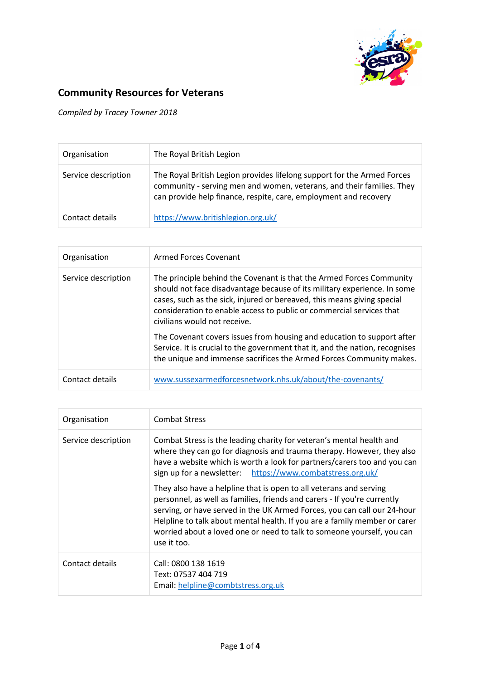

## Community Resources for Veterans

Compiled by Tracey Towner 2018

| Organisation        | The Royal British Legion                                                                                                                                                                                             |
|---------------------|----------------------------------------------------------------------------------------------------------------------------------------------------------------------------------------------------------------------|
| Service description | The Royal British Legion provides lifelong support for the Armed Forces<br>community - serving men and women, veterans, and their families. They<br>can provide help finance, respite, care, employment and recovery |
| Contact details     | https://www.britishlegion.org.uk/                                                                                                                                                                                    |

| Organisation        | Armed Forces Covenant                                                                                                                                                                                                                                                                                                               |
|---------------------|-------------------------------------------------------------------------------------------------------------------------------------------------------------------------------------------------------------------------------------------------------------------------------------------------------------------------------------|
| Service description | The principle behind the Covenant is that the Armed Forces Community<br>should not face disadvantage because of its military experience. In some<br>cases, such as the sick, injured or bereaved, this means giving special<br>consideration to enable access to public or commercial services that<br>civilians would not receive. |
|                     | The Covenant covers issues from housing and education to support after<br>Service. It is crucial to the government that it, and the nation, recognises<br>the unique and immense sacrifices the Armed Forces Community makes.                                                                                                       |
| Contact details     | www.sussexarmedforcesnetwork.nhs.uk/about/the-covenants/                                                                                                                                                                                                                                                                            |

| Organisation        | <b>Combat Stress</b>                                                                                                                                                                                                                                                                                                                                                                             |
|---------------------|--------------------------------------------------------------------------------------------------------------------------------------------------------------------------------------------------------------------------------------------------------------------------------------------------------------------------------------------------------------------------------------------------|
| Service description | Combat Stress is the leading charity for veteran's mental health and<br>where they can go for diagnosis and trauma therapy. However, they also<br>have a website which is worth a look for partners/carers too and you can<br>sign up for a newsletter: https://www.combatstress.org.uk/                                                                                                         |
|                     | They also have a helpline that is open to all veterans and serving<br>personnel, as well as families, friends and carers - If you're currently<br>serving, or have served in the UK Armed Forces, you can call our 24-hour<br>Helpline to talk about mental health. If you are a family member or carer<br>worried about a loved one or need to talk to someone yourself, you can<br>use it too. |
| Contact details     | Call: 0800 138 1619<br>Text: 07537 404 719<br>Email: helpline@combtstress.org.uk                                                                                                                                                                                                                                                                                                                 |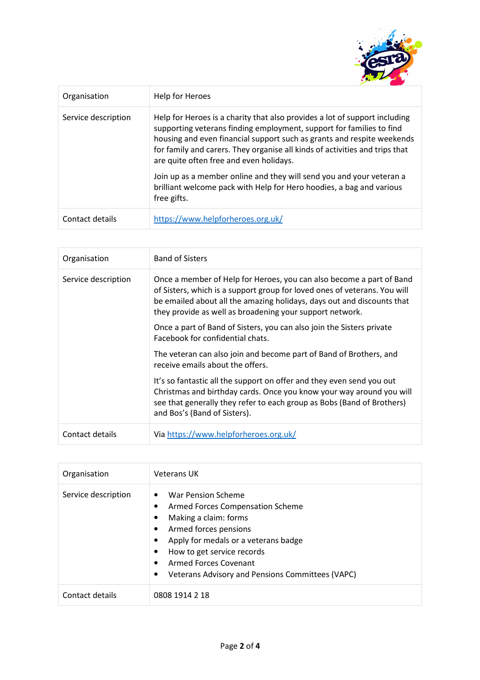

| Organisation        | Help for Heroes                                                                                                                                                                                                                                                                                                                                        |
|---------------------|--------------------------------------------------------------------------------------------------------------------------------------------------------------------------------------------------------------------------------------------------------------------------------------------------------------------------------------------------------|
| Service description | Help for Heroes is a charity that also provides a lot of support including<br>supporting veterans finding employment, support for families to find<br>housing and even financial support such as grants and respite weekends<br>for family and carers. They organise all kinds of activities and trips that<br>are quite often free and even holidays. |
|                     | Join up as a member online and they will send you and your veteran a<br>brilliant welcome pack with Help for Hero hoodies, a bag and various<br>free gifts.                                                                                                                                                                                            |
| Contact details     | https://www.helpforheroes.org.uk/                                                                                                                                                                                                                                                                                                                      |

| Organisation        | <b>Band of Sisters</b>                                                                                                                                                                                                                                                                  |
|---------------------|-----------------------------------------------------------------------------------------------------------------------------------------------------------------------------------------------------------------------------------------------------------------------------------------|
| Service description | Once a member of Help for Heroes, you can also become a part of Band<br>of Sisters, which is a support group for loved ones of veterans. You will<br>be emailed about all the amazing holidays, days out and discounts that<br>they provide as well as broadening your support network. |
|                     | Once a part of Band of Sisters, you can also join the Sisters private<br>Eacebook for confidential chats.                                                                                                                                                                               |
|                     | The veteran can also join and become part of Band of Brothers, and<br>receive emails about the offers.                                                                                                                                                                                  |
|                     | It's so fantastic all the support on offer and they even send you out<br>Christmas and birthday cards. Once you know your way around you will<br>see that generally they refer to each group as Bobs (Band of Brothers)<br>and Bos's (Band of Sisters).                                 |
| Contact details     | Via https://www.helpforheroes.org.uk/                                                                                                                                                                                                                                                   |

| Organisation        | <b>Veterans UK</b>                                                                                                                                                                                                                                                                                          |
|---------------------|-------------------------------------------------------------------------------------------------------------------------------------------------------------------------------------------------------------------------------------------------------------------------------------------------------------|
| Service description | War Pension Scheme<br>$\bullet$<br>Armed Forces Compensation Scheme<br>٠<br>Making a claim: forms<br>٠<br>Armed forces pensions<br>٠<br>Apply for medals or a veterans badge<br>٠<br>How to get service records<br>٠<br>Armed Forces Covenant<br>٠<br>Veterans Advisory and Pensions Committees (VAPC)<br>٠ |
| Contact details     | 0808 1914 2 18                                                                                                                                                                                                                                                                                              |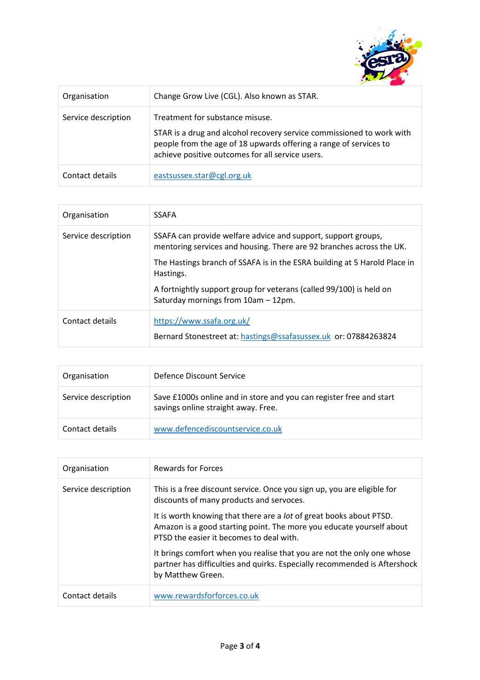

| Organisation        | Change Grow Live (CGL). Also known as STAR.                                                                                                                                                                                       |
|---------------------|-----------------------------------------------------------------------------------------------------------------------------------------------------------------------------------------------------------------------------------|
| Service description | Treatment for substance misuse.<br>STAR is a drug and alcohol recovery service commissioned to work with<br>people from the age of 18 upwards offering a range of services to<br>achieve positive outcomes for all service users. |
| Contact details     | eastsussex.star@cgl.org.uk                                                                                                                                                                                                        |

| Organisation        | <b>SSAFA</b>                                                                                                                          |
|---------------------|---------------------------------------------------------------------------------------------------------------------------------------|
| Service description | SSAFA can provide welfare advice and support, support groups,<br>mentoring services and housing. There are 92 branches across the UK. |
|                     | The Hastings branch of SSAFA is in the ESRA building at 5 Harold Place in<br>Hastings.                                                |
|                     | A fortnightly support group for veterans (called 99/100) is held on<br>Saturday mornings from 10am - 12pm.                            |
| Contact details     | https://www.ssafa.org.uk/                                                                                                             |
|                     | Bernard Stonestreet at: hastings@ssafasussex.uk or: 07884263824                                                                       |

| Organisation        | Defence Discount Service                                                                                   |
|---------------------|------------------------------------------------------------------------------------------------------------|
| Service description | Save £1000s online and in store and you can register free and start<br>savings online straight away. Free. |
| Contact details     | www.defencediscountservice.co.uk                                                                           |

| Organisation        | Rewards for Forces                                                                                                                                                                             |
|---------------------|------------------------------------------------------------------------------------------------------------------------------------------------------------------------------------------------|
| Service description | This is a free discount service. Once you sign up, you are eligible for<br>discounts of many products and servoces.                                                                            |
|                     | It is worth knowing that there are a <i>lot</i> of great books about PTSD.<br>Amazon is a good starting point. The more you educate yourself about<br>PTSD the easier it becomes to deal with. |
|                     | It brings comfort when you realise that you are not the only one whose<br>partner has difficulties and quirks. Especially recommended is Aftershock<br>by Matthew Green.                       |
| Contact details     | www.rewardsforforces.co.uk                                                                                                                                                                     |